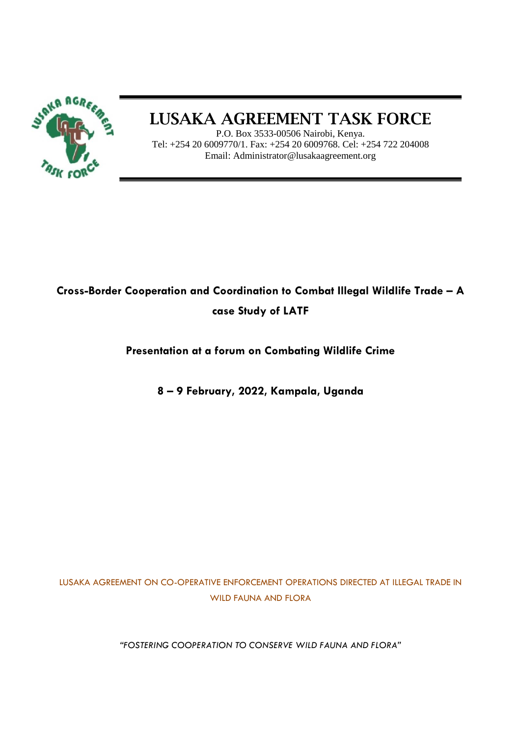

# LUSAKA AGREEMENT TASK FORCE

P.O. Box 3533-00506 Nairobi, Kenya. Tel: +254 20 6009770/1. Fax: +254 20 6009768. Cel: +254 722 204008 Email: Administrator@lusakaagreement.org

# **Cross-Border Cooperation and Coordination to Combat Illegal Wildlife Trade – A case Study of LATF**

**Presentation at a forum on Combating Wildlife Crime** 

**8 – 9 February, 2022, Kampala, Uganda**

LUSAKA AGREEMENT ON CO-OPERATIVE ENFORCEMENT OPERATIONS DIRECTED AT ILLEGAL TRADE IN WILD FAUNA AND FLORA

*"FOSTERING COOPERATION TO CONSERVE WILD FAUNA AND FLORA"*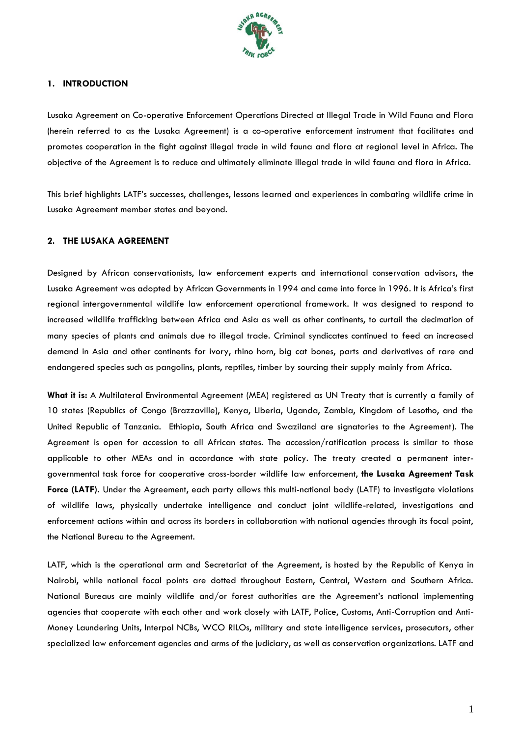

#### **1. INTRODUCTION**

Lusaka Agreement on Co-operative Enforcement Operations Directed at Illegal Trade in Wild Fauna and Flora (herein referred to as the Lusaka Agreement) is a co-operative enforcement instrument that facilitates and promotes cooperation in the fight against illegal trade in wild fauna and flora at regional level in Africa. The objective of the Agreement is to reduce and ultimately eliminate illegal trade in wild fauna and flora in Africa.

This brief highlights LATF's successes, challenges, lessons learned and experiences in combating wildlife crime in Lusaka Agreement member states and beyond.

#### **2. THE LUSAKA AGREEMENT**

Designed by African conservationists, law enforcement experts and international conservation advisors, the Lusaka Agreement was adopted by African Governments in 1994 and came into force in 1996. It is Africa's first regional intergovernmental wildlife law enforcement operational framework. It was designed to respond to increased wildlife trafficking between Africa and Asia as well as other continents, to curtail the decimation of many species of plants and animals due to illegal trade. Criminal syndicates continued to feed an increased demand in Asia and other continents for ivory, rhino horn, big cat bones, parts and derivatives of rare and endangered species such as pangolins, plants, reptiles, timber by sourcing their supply mainly from Africa.

**What it is:** A Multilateral Environmental Agreement (MEA) registered as UN Treaty that is currently a family of 10 states (Republics of Congo (Brazzaville), Kenya, Liberia, Uganda, Zambia, Kingdom of Lesotho, and the United Republic of Tanzania. Ethiopia, South Africa and Swaziland are signatories to the Agreement). The Agreement is open for accession to all African states. The accession/ratification process is similar to those applicable to other MEAs and in accordance with state policy. The treaty created a permanent intergovernmental task force for cooperative cross-border wildlife law enforcement, **the Lusaka Agreement Task Force (LATF).** Under the Agreement, each party allows this multi-national body (LATF) to investigate violations of wildlife laws, physically undertake intelligence and conduct joint wildlife-related, investigations and enforcement actions within and across its borders in collaboration with national agencies through its focal point, the National Bureau to the Agreement.

LATF, which is the operational arm and Secretariat of the Agreement, is hosted by the Republic of Kenya in Nairobi, while national focal points are dotted throughout Eastern, Central, Western and Southern Africa. National Bureaus are mainly wildlife and/or forest authorities are the Agreement's national implementing agencies that cooperate with each other and work closely with LATF, Police, Customs, Anti-Corruption and Anti-Money Laundering Units, Interpol NCBs, WCO RILOs, military and state intelligence services, prosecutors, other specialized law enforcement agencies and arms of the judiciary, as well as conservation organizations. LATF and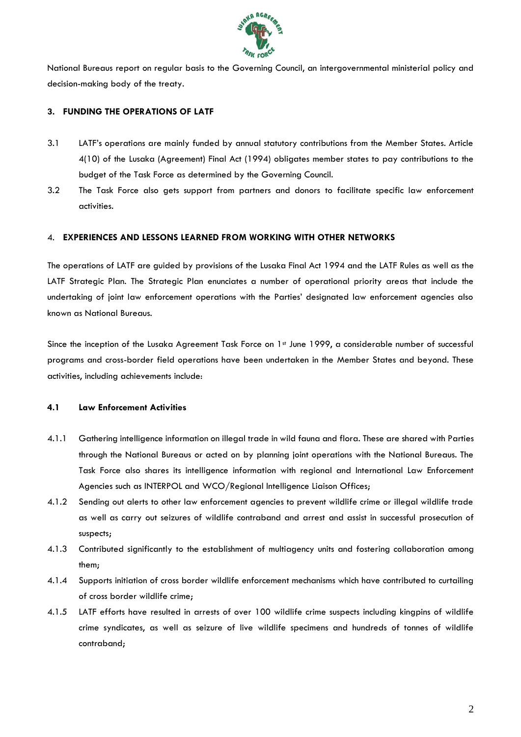

National Bureaus report on regular basis to the Governing Council, an intergovernmental ministerial policy and decision-making body of the treaty.

# **3. FUNDING THE OPERATIONS OF LATF**

- 3.1 LATF's operations are mainly funded by annual statutory contributions from the Member States. Article 4(10) of the Lusaka (Agreement) Final Act (1994) obligates member states to pay contributions to the budget of the Task Force as determined by the Governing Council.
- 3.2 The Task Force also gets support from partners and donors to facilitate specific law enforcement activities.

## 4. **EXPERIENCES AND LESSONS LEARNED FROM WORKING WITH OTHER NETWORKS**

The operations of LATF are guided by provisions of the Lusaka Final Act 1994 and the LATF Rules as well as the LATF Strategic Plan. The Strategic Plan enunciates a number of operational priority areas that include the undertaking of joint law enforcement operations with the Parties' designated law enforcement agencies also known as National Bureaus.

Since the inception of the Lusaka Agreement Task Force on 1st June 1999, a considerable number of successful programs and cross-border field operations have been undertaken in the Member States and beyond. These activities, including achievements include:

## **4.1 Law Enforcement Activities**

- 4.1.1 Gathering intelligence information on illegal trade in wild fauna and flora. These are shared with Parties through the National Bureaus or acted on by planning joint operations with the National Bureaus. The Task Force also shares its intelligence information with regional and International Law Enforcement Agencies such as INTERPOL and WCO/Regional Intelligence Liaison Offices;
- 4.1.2 Sending out alerts to other law enforcement agencies to prevent wildlife crime or illegal wildlife trade as well as carry out seizures of wildlife contraband and arrest and assist in successful prosecution of suspects;
- 4.1.3 Contributed significantly to the establishment of multiagency units and fostering collaboration among them;
- 4.1.4 Supports initiation of cross border wildlife enforcement mechanisms which have contributed to curtailing of cross border wildlife crime;
- 4.1.5 LATF efforts have resulted in arrests of over 100 wildlife crime suspects including kingpins of wildlife crime syndicates, as well as seizure of live wildlife specimens and hundreds of tonnes of wildlife contraband;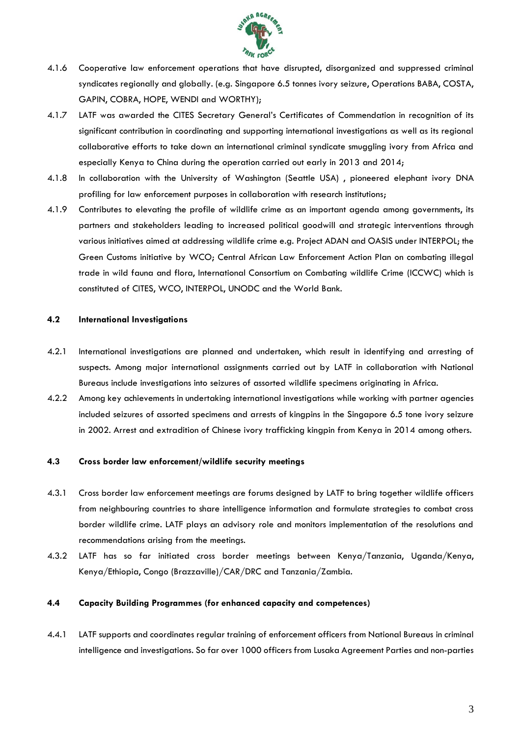

- 4.1.6 Cooperative law enforcement operations that have disrupted, disorganized and suppressed criminal syndicates regionally and globally. (e.g. Singapore 6.5 tonnes ivory seizure, Operations BABA, COSTA, GAPIN, COBRA, HOPE, WENDI and WORTHY);
- 4.1.7 LATF was awarded the CITES Secretary General's Certificates of Commendation in recognition of its significant contribution in coordinating and supporting international investigations as well as its regional collaborative efforts to take down an international criminal syndicate smuggling ivory from Africa and especially Kenya to China during the operation carried out early in 2013 and 2014;
- 4.1.8 In collaboration with the University of Washington (Seattle USA) , pioneered elephant ivory DNA profiling for law enforcement purposes in collaboration with research institutions;
- 4.1.9 Contributes to elevating the profile of wildlife crime as an important agenda among governments, its partners and stakeholders leading to increased political goodwill and strategic interventions through various initiatives aimed at addressing wildlife crime e.g. Project ADAN and OASIS under INTERPOL; the Green Customs initiative by WCO; Central African Law Enforcement Action Plan on combating illegal trade in wild fauna and flora, International Consortium on Combating wildlife Crime (ICCWC) which is constituted of CITES, WCO, INTERPOL, UNODC and the World Bank.

#### **4.2 International Investigations**

- 4.2.1 International investigations are planned and undertaken, which result in identifying and arresting of suspects. Among major international assignments carried out by LATF in collaboration with National Bureaus include investigations into seizures of assorted wildlife specimens originating in Africa.
- 4.2.2 Among key achievements in undertaking international investigations while working with partner agencies included seizures of assorted specimens and arrests of kingpins in the Singapore 6.5 tone ivory seizure in 2002. Arrest and extradition of Chinese ivory trafficking kingpin from Kenya in 2014 among others.

#### **4.3 Cross border law enforcement/wildlife security meetings**

- 4.3.1 Cross border law enforcement meetings are forums designed by LATF to bring together wildlife officers from neighbouring countries to share intelligence information and formulate strategies to combat cross border wildlife crime. LATF plays an advisory role and monitors implementation of the resolutions and recommendations arising from the meetings.
- 4.3.2 LATF has so far initiated cross border meetings between Kenya/Tanzania, Uganda/Kenya, Kenya/Ethiopia, Congo (Brazzaville)/CAR/DRC and Tanzania/Zambia.

#### **4.4 Capacity Building Programmes (for enhanced capacity and competences)**

4.4.1 LATF supports and coordinates regular training of enforcement officers from National Bureaus in criminal intelligence and investigations. So far over 1000 officers from Lusaka Agreement Parties and non-parties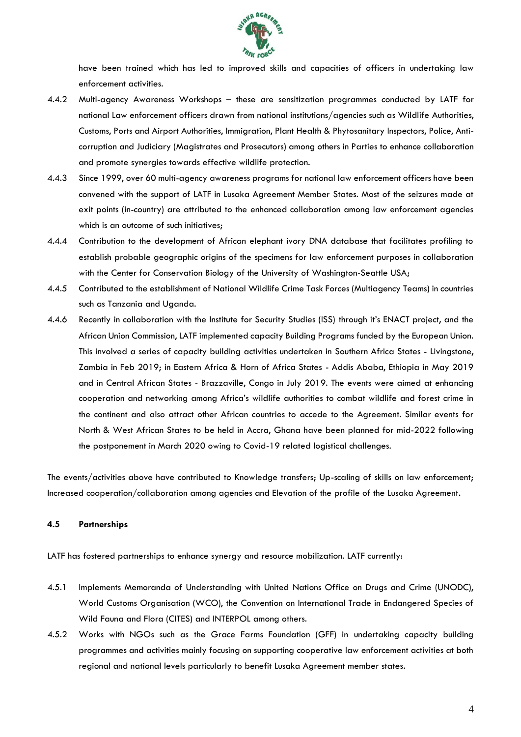

have been trained which has led to improved skills and capacities of officers in undertaking law enforcement activities.

- 4.4.2 Multi-agency Awareness Workshops these are sensitization programmes conducted by LATF for national Law enforcement officers drawn from national institutions/agencies such as Wildlife Authorities, Customs, Ports and Airport Authorities, Immigration, Plant Health & Phytosanitary Inspectors, Police, Anticorruption and Judiciary (Magistrates and Prosecutors) among others in Parties to enhance collaboration and promote synergies towards effective wildlife protection.
- 4.4.3 Since 1999, over 60 multi-agency awareness programs for national law enforcement officers have been convened with the support of LATF in Lusaka Agreement Member States. Most of the seizures made at exit points (in-country) are attributed to the enhanced collaboration among law enforcement agencies which is an outcome of such initiatives;
- 4.4.4 Contribution to the development of African elephant ivory DNA database that facilitates profiling to establish probable geographic origins of the specimens for law enforcement purposes in collaboration with the Center for Conservation Biology of the University of Washington-Seattle USA;
- 4.4.5 Contributed to the establishment of National Wildlife Crime Task Forces (Multiagency Teams) in countries such as Tanzania and Uganda.
- 4.4.6 Recently in collaboration with the Institute for Security Studies (ISS) through it's ENACT project, and the African Union Commission, LATF implemented capacity Building Programs funded by the European Union. This involved a series of capacity building activities undertaken in Southern Africa States - Livingstone, Zambia in Feb 2019; in Eastern Africa & Horn of Africa States - Addis Ababa, Ethiopia in May 2019 and in Central African States - Brazzaville, Congo in July 2019. The events were aimed at enhancing cooperation and networking among Africa's wildlife authorities to combat wildlife and forest crime in the continent and also attract other African countries to accede to the Agreement. Similar events for North & West African States to be held in Accra, Ghana have been planned for mid-2022 following the postponement in March 2020 owing to Covid-19 related logistical challenges.

The events/activities above have contributed to Knowledge transfers; Up-scaling of skills on law enforcement; Increased cooperation/collaboration among agencies and Elevation of the profile of the Lusaka Agreement.

## **4.5 Partnerships**

LATF has fostered partnerships to enhance synergy and resource mobilization. LATF currently:

- 4.5.1 Implements Memoranda of Understanding with United Nations Office on Drugs and Crime (UNODC), World Customs Organisation (WCO), the Convention on International Trade in Endangered Species of Wild Fauna and Flora (CITES) and INTERPOL among others.
- 4.5.2 Works with NGOs such as the Grace Farms Foundation (GFF) in undertaking capacity building programmes and activities mainly focusing on supporting cooperative law enforcement activities at both regional and national levels particularly to benefit Lusaka Agreement member states.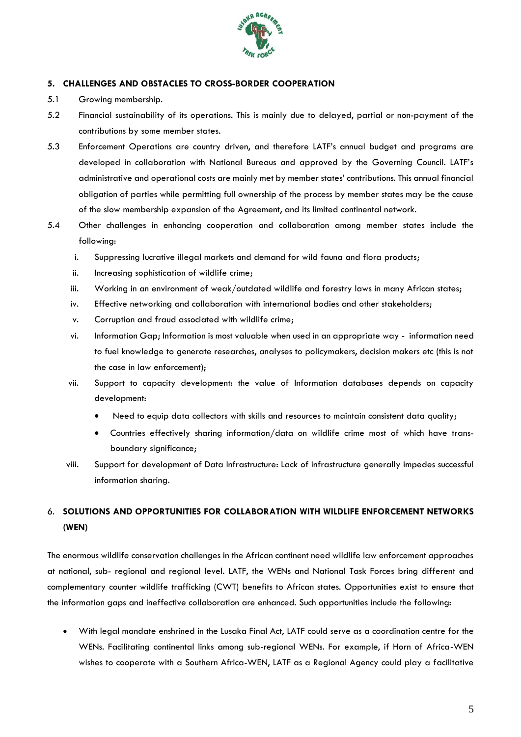

# **5. CHALLENGES AND OBSTACLES TO CROSS-BORDER COOPERATION**

- 5.1 Growing membership.
- 5.2 Financial sustainability of its operations. This is mainly due to delayed, partial or non-payment of the contributions by some member states.
- 5.3 Enforcement Operations are country driven, and therefore LATF's annual budget and programs are developed in collaboration with National Bureaus and approved by the Governing Council. LATF's administrative and operational costs are mainly met by member states' contributions. This annual financial obligation of parties while permitting full ownership of the process by member states may be the cause of the slow membership expansion of the Agreement, and its limited continental network.
- 5.4 Other challenges in enhancing cooperation and collaboration among member states include the following:
	- i. Suppressing lucrative illegal markets and demand for wild fauna and flora products;
	- ii. Increasing sophistication of wildlife crime;
	- iii. Working in an environment of weak/outdated wildlife and forestry laws in many African states;
	- iv. Effective networking and collaboration with international bodies and other stakeholders;
	- v. Corruption and fraud associated with wildlife crime;
	- vi. Information Gap; Information is most valuable when used in an appropriate way information need to fuel knowledge to generate researches, analyses to policymakers, decision makers etc (this is not the case in law enforcement);
	- vii. Support to capacity development: the value of Information databases depends on capacity development:
		- Need to equip data collectors with skills and resources to maintain consistent data quality;
		- Countries effectively sharing information/data on wildlife crime most of which have transboundary significance;
	- viii. Support for development of Data Infrastructure: Lack of infrastructure generally impedes successful information sharing.

# 6. **SOLUTIONS AND OPPORTUNITIES FOR COLLABORATION WITH WILDLIFE ENFORCEMENT NETWORKS (WEN)**

The enormous wildlife conservation challenges in the African continent need wildlife law enforcement approaches at national, sub- regional and regional level. LATF, the WENs and National Task Forces bring different and complementary counter wildlife trafficking (CWT) benefits to African states. Opportunities exist to ensure that the information gaps and ineffective collaboration are enhanced. Such opportunities include the following:

 With legal mandate enshrined in the Lusaka Final Act, LATF could serve as a coordination centre for the WENs. Facilitating continental links among sub-regional WENs. For example, if Horn of Africa-WEN wishes to cooperate with a Southern Africa-WEN, LATF as a Regional Agency could play a facilitative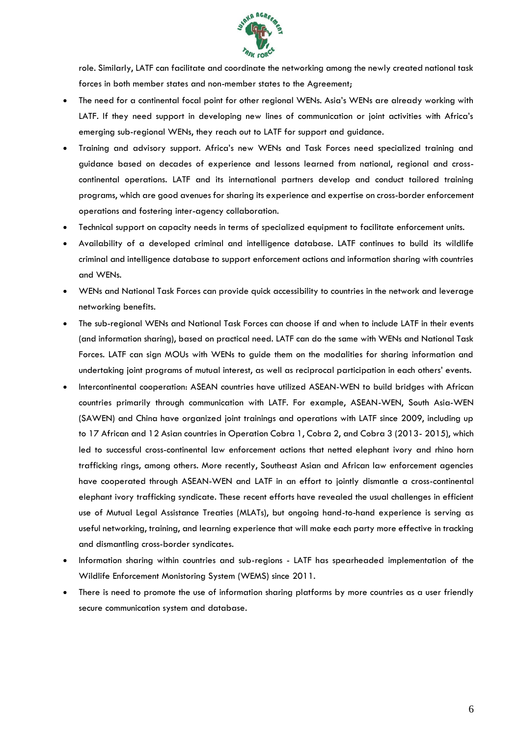

role. Similarly, LATF can facilitate and coordinate the networking among the newly created national task forces in both member states and non-member states to the Agreement;

- The need for a continental focal point for other regional WENs. Asia's WENs are already working with LATF. If they need support in developing new lines of communication or joint activities with Africa's emerging sub-regional WENs, they reach out to LATF for support and guidance.
- Training and advisory support. Africa's new WENs and Task Forces need specialized training and guidance based on decades of experience and lessons learned from national, regional and crosscontinental operations. LATF and its international partners develop and conduct tailored training programs, which are good avenues for sharing its experience and expertise on cross-border enforcement operations and fostering inter-agency collaboration.
- Technical support on capacity needs in terms of specialized equipment to facilitate enforcement units.
- Availability of a developed criminal and intelligence database. LATF continues to build its wildlife criminal and intelligence database to support enforcement actions and information sharing with countries and WENs.
- WENs and National Task Forces can provide quick accessibility to countries in the network and leverage networking benefits.
- The sub-regional WENs and National Task Forces can choose if and when to include LATF in their events (and information sharing), based on practical need. LATF can do the same with WENs and National Task Forces. LATF can sign MOUs with WENs to guide them on the modalities for sharing information and undertaking joint programs of mutual interest, as well as reciprocal participation in each others' events.
- Intercontinental cooperation: ASEAN countries have utilized ASEAN-WEN to build bridges with African countries primarily through communication with LATF. For example, ASEAN-WEN, South Asia-WEN (SAWEN) and China have organized joint trainings and operations with LATF since 2009, including up to 17 African and 12 Asian countries in Operation Cobra 1, Cobra 2, and Cobra 3 (2013- 2015), which led to successful cross-continental law enforcement actions that netted elephant ivory and rhino horn trafficking rings, among others. More recently, Southeast Asian and African law enforcement agencies have cooperated through ASEAN-WEN and LATF in an effort to jointly dismantle a cross-continental elephant ivory trafficking syndicate. These recent efforts have revealed the usual challenges in efficient use of Mutual Legal Assistance Treaties (MLATs), but ongoing hand-to-hand experience is serving as useful networking, training, and learning experience that will make each party more effective in tracking and dismantling cross-border syndicates.
- Information sharing within countries and sub-regions LATF has spearheaded implementation of the Wildlife Enforcement Monistoring System (WEMS) since 2011.
- There is need to promote the use of information sharing platforms by more countries as a user friendly secure communication system and database.